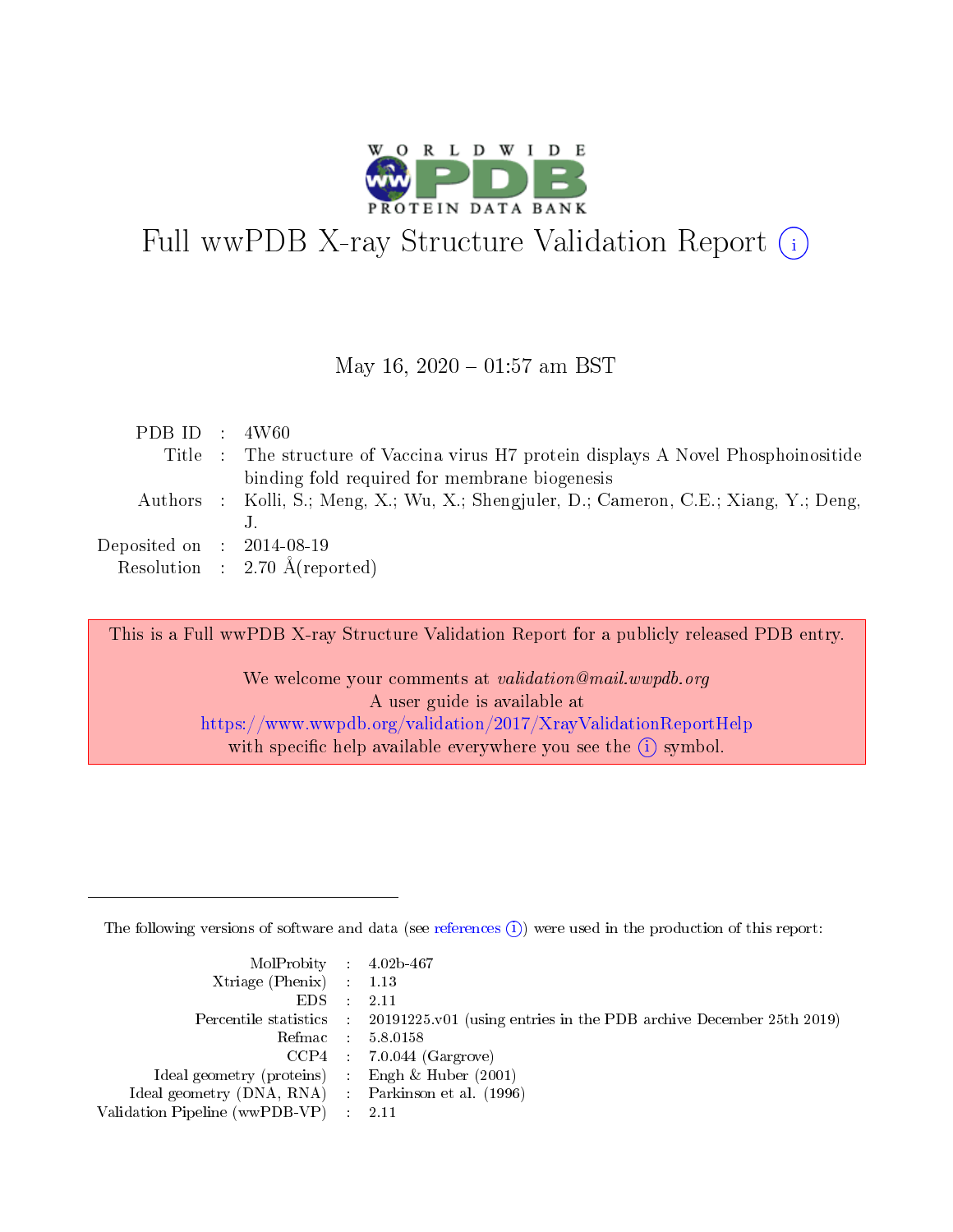

# Full wwPDB X-ray Structure Validation Report  $(i)$

### May 16,  $2020 - 01:57$  am BST

| PDB ID : $4W60$             |                                                                                        |
|-----------------------------|----------------------------------------------------------------------------------------|
|                             | Title : The structure of Vaccina virus H7 protein displays A Novel Phosphoinositide    |
|                             | binding fold required for membrane biogenesis                                          |
|                             | Authors : Kolli, S.; Meng, X.; Wu, X.; Shengjuler, D.; Cameron, C.E.; Xiang, Y.; Deng, |
|                             |                                                                                        |
| Deposited on : $2014-08-19$ |                                                                                        |
|                             | Resolution : $2.70 \text{ Å}$ (reported)                                               |

This is a Full wwPDB X-ray Structure Validation Report for a publicly released PDB entry.

We welcome your comments at validation@mail.wwpdb.org A user guide is available at <https://www.wwpdb.org/validation/2017/XrayValidationReportHelp> with specific help available everywhere you see the  $(i)$  symbol.

The following versions of software and data (see [references](https://www.wwpdb.org/validation/2017/XrayValidationReportHelp#references)  $(i)$ ) were used in the production of this report:

| $MolProbability$ 4.02b-467                          |                                                                                              |
|-----------------------------------------------------|----------------------------------------------------------------------------------------------|
| Xtriage (Phenix) $: 1.13$                           |                                                                                              |
| $EDS$ :                                             | -2.11                                                                                        |
|                                                     | Percentile statistics : $20191225.v01$ (using entries in the PDB archive December 25th 2019) |
|                                                     | Refmac : 5.8.0158                                                                            |
|                                                     | $CCP4$ : 7.0.044 (Gargrove)                                                                  |
| Ideal geometry (proteins) : Engh $\&$ Huber (2001)  |                                                                                              |
| Ideal geometry (DNA, RNA) : Parkinson et al. (1996) |                                                                                              |
| Validation Pipeline (wwPDB-VP) :                    | - 2.11                                                                                       |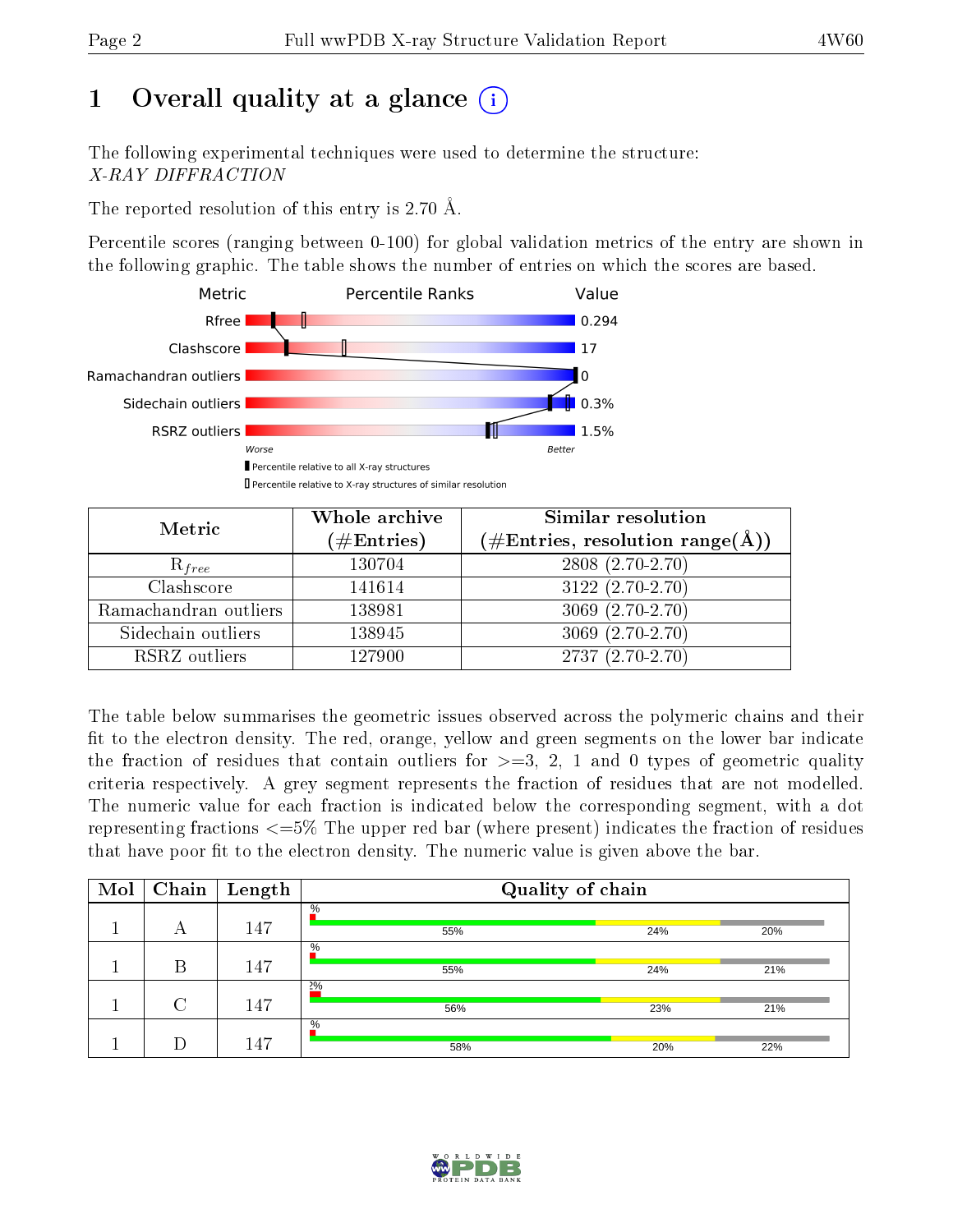# 1 [O](https://www.wwpdb.org/validation/2017/XrayValidationReportHelp#overall_quality)verall quality at a glance  $(i)$

The following experimental techniques were used to determine the structure: X-RAY DIFFRACTION

The reported resolution of this entry is 2.70 Å.

Percentile scores (ranging between 0-100) for global validation metrics of the entry are shown in the following graphic. The table shows the number of entries on which the scores are based.



| Metric                | Whole archive<br>$(\#\text{Entries})$ | <b>Similar resolution</b><br>$(\#\text{Entries}, \text{resolution range}(\text{\AA}))$ |  |
|-----------------------|---------------------------------------|----------------------------------------------------------------------------------------|--|
| $R_{free}$            | 130704                                | $2808$ $(2.70 - 2.70)$                                                                 |  |
| Clashscore            | 141614                                | $3122(2.70-2.70)$                                                                      |  |
| Ramachandran outliers | 138981                                | $3069(2.70-2.70)$                                                                      |  |
| Sidechain outliers    | 138945                                | $3069(2.70-2.70)$                                                                      |  |
| RSRZ outliers         | 127900                                | $2737(2.70-2.70)$                                                                      |  |

The table below summarises the geometric issues observed across the polymeric chains and their fit to the electron density. The red, orange, yellow and green segments on the lower bar indicate the fraction of residues that contain outliers for  $>=3, 2, 1$  and 0 types of geometric quality criteria respectively. A grey segment represents the fraction of residues that are not modelled. The numeric value for each fraction is indicated below the corresponding segment, with a dot representing fractions  $\epsilon=5\%$  The upper red bar (where present) indicates the fraction of residues that have poor fit to the electron density. The numeric value is given above the bar.

| Mol |        | $\boxed{\text{Chain}}$ Length | Quality of chain |     |     |
|-----|--------|-------------------------------|------------------|-----|-----|
|     | А      | 147                           | $\%$<br>55%      | 24% | 20% |
|     | В      | 147                           | $\%$<br>55%      | 24% | 21% |
|     | $\cap$ | 147                           | $2\%$<br>56%     | 23% | 21% |
|     |        | 147                           | $\%$<br>58%      | 20% | 22% |

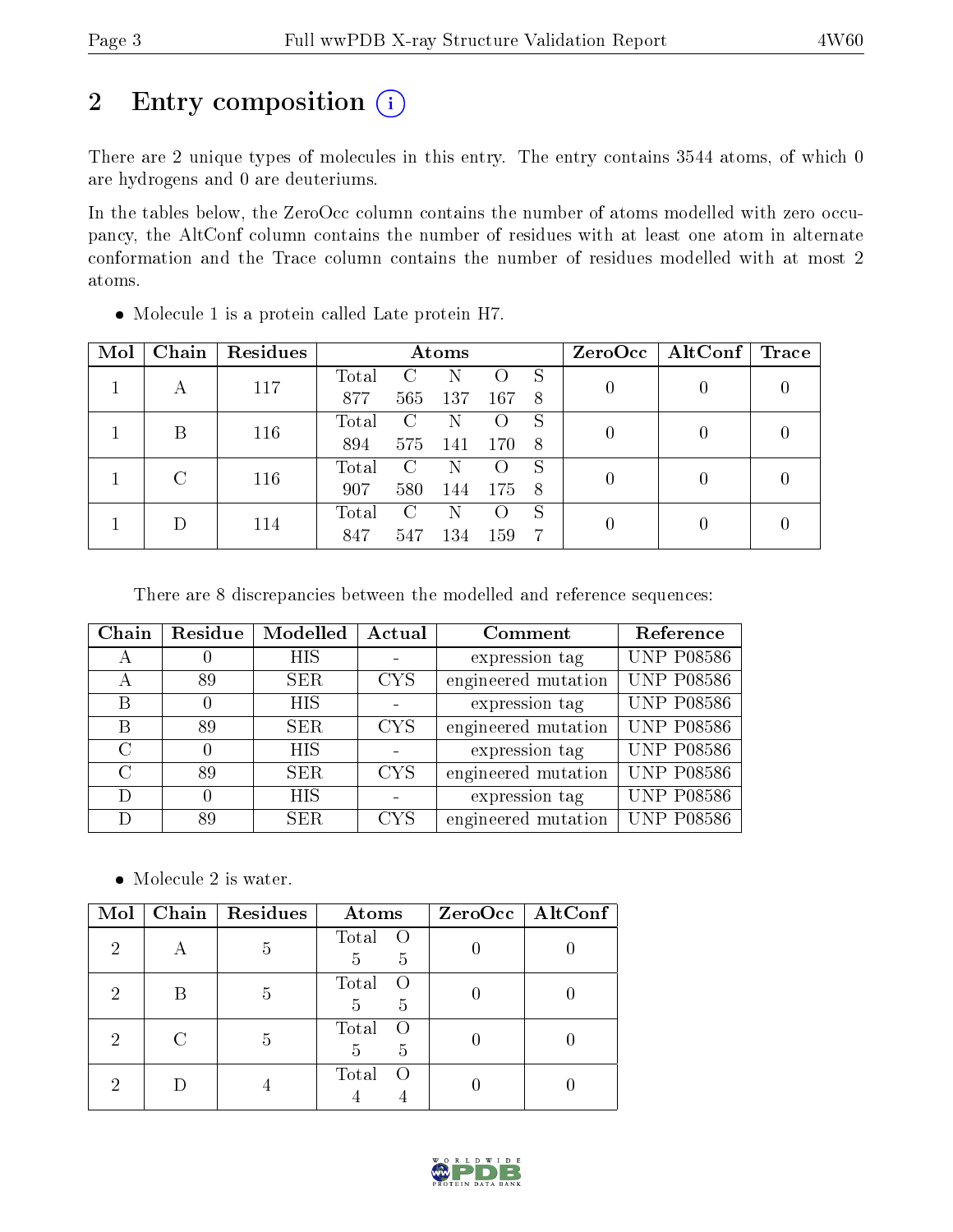# 2 Entry composition (i)

There are 2 unique types of molecules in this entry. The entry contains 3544 atoms, of which 0 are hydrogens and 0 are deuteriums.

In the tables below, the ZeroOcc column contains the number of atoms modelled with zero occupancy, the AltConf column contains the number of residues with at least one atom in alternate conformation and the Trace column contains the number of residues modelled with at most 2 atoms.

| Mol | Chain | Residues | Atoms |                             |      |     |     | ZeroOcc | $\mid$ AltConf $\mid$ | $\operatorname{Trace}$ |
|-----|-------|----------|-------|-----------------------------|------|-----|-----|---------|-----------------------|------------------------|
|     |       | 117      | Total |                             |      |     | S   |         |                       |                        |
|     | А     |          | 877   | 565                         | 137  | 167 | -8  |         |                       |                        |
|     | R     | 116      | Total | $\mathcal{C}_{\mathcal{C}}$ | N    |     | S   |         |                       |                        |
|     |       |          | 894   | 575                         | -141 | 170 | - 8 |         |                       |                        |
|     |       | 116      | Total | G                           | N    |     | S   |         |                       |                        |
|     |       |          | 907   | 580                         | 144  | 175 | - 8 |         |                       |                        |
|     |       |          | Total | C                           | N    | ( ) | S   |         |                       |                        |
|     | 114   | 847      | 547   | 134                         | 159  | 7   |     |         |                       |                        |

Molecule 1 is a protein called Late protein H7.

There are 8 discrepancies between the modelled and reference sequences:

| Chain | Residue | Modelled   | Actual     | Comment             | Reference         |
|-------|---------|------------|------------|---------------------|-------------------|
|       |         | <b>HIS</b> |            | expression tag      | <b>UNP P08586</b> |
| А     | 89      | SER.       | <b>CYS</b> | engineered mutation | <b>UNP P08586</b> |
| B     |         | <b>HIS</b> |            | expression tag      | <b>UNP P08586</b> |
| B     | 89      | <b>SER</b> | <b>CYS</b> | engineered mutation | <b>UNP P08586</b> |
| C     |         | <b>HIS</b> |            | expression tag      | <b>UNP P08586</b> |
| C     | 89      | SER.       | <b>CYS</b> | engineered mutation | <b>UNP P08586</b> |
| D     |         | <b>HIS</b> |            | expression tag      | <b>UNP P08586</b> |
| Ð     | 89      | SER.       | <b>CYS</b> | engineered mutation | <b>UNP P08586</b> |

• Molecule 2 is water.

| Mol            | Chain   Residues | Atoms                                     | ZeroOcc   AltConf |
|----------------|------------------|-------------------------------------------|-------------------|
| $\overline{2}$ |                  | Total<br>$\circ$ O<br>5<br>$\overline{5}$ |                   |
| 2              |                  | Total<br>- ( )<br>$\overline{5}$<br>5     |                   |
| 2              | .,               | Total<br>$\left( \right)$<br>-5<br>5      |                   |
| ٠,             |                  | Total<br>$\left($                         |                   |

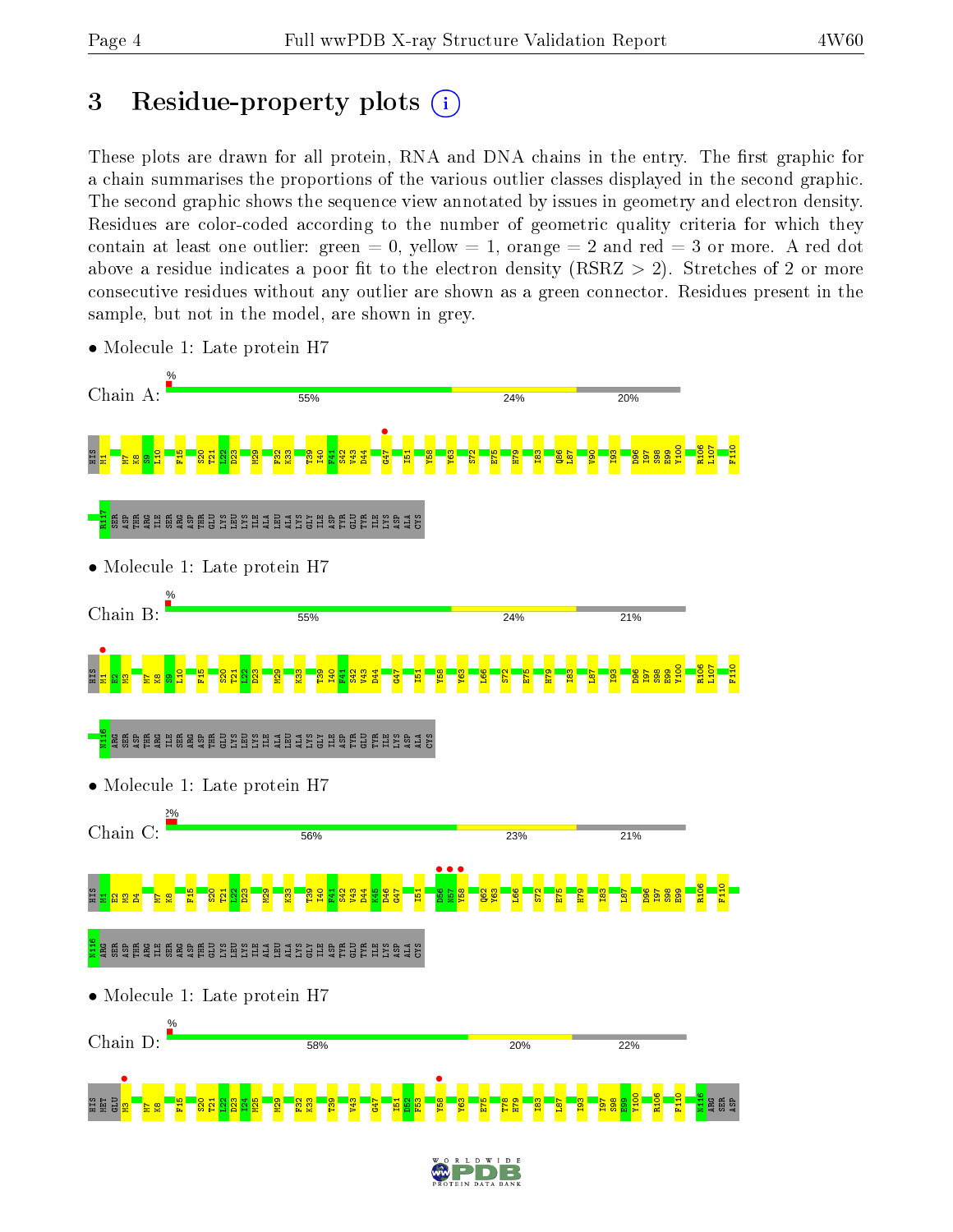# 3 Residue-property plots  $(i)$

These plots are drawn for all protein, RNA and DNA chains in the entry. The first graphic for a chain summarises the proportions of the various outlier classes displayed in the second graphic. The second graphic shows the sequence view annotated by issues in geometry and electron density. Residues are color-coded according to the number of geometric quality criteria for which they contain at least one outlier: green  $= 0$ , yellow  $= 1$ , orange  $= 2$  and red  $= 3$  or more. A red dot above a residue indicates a poor fit to the electron density (RSRZ  $> 2$ ). Stretches of 2 or more consecutive residues without any outlier are shown as a green connector. Residues present in the sample, but not in the model, are shown in grey.



• Molecule 1: Late protein H7

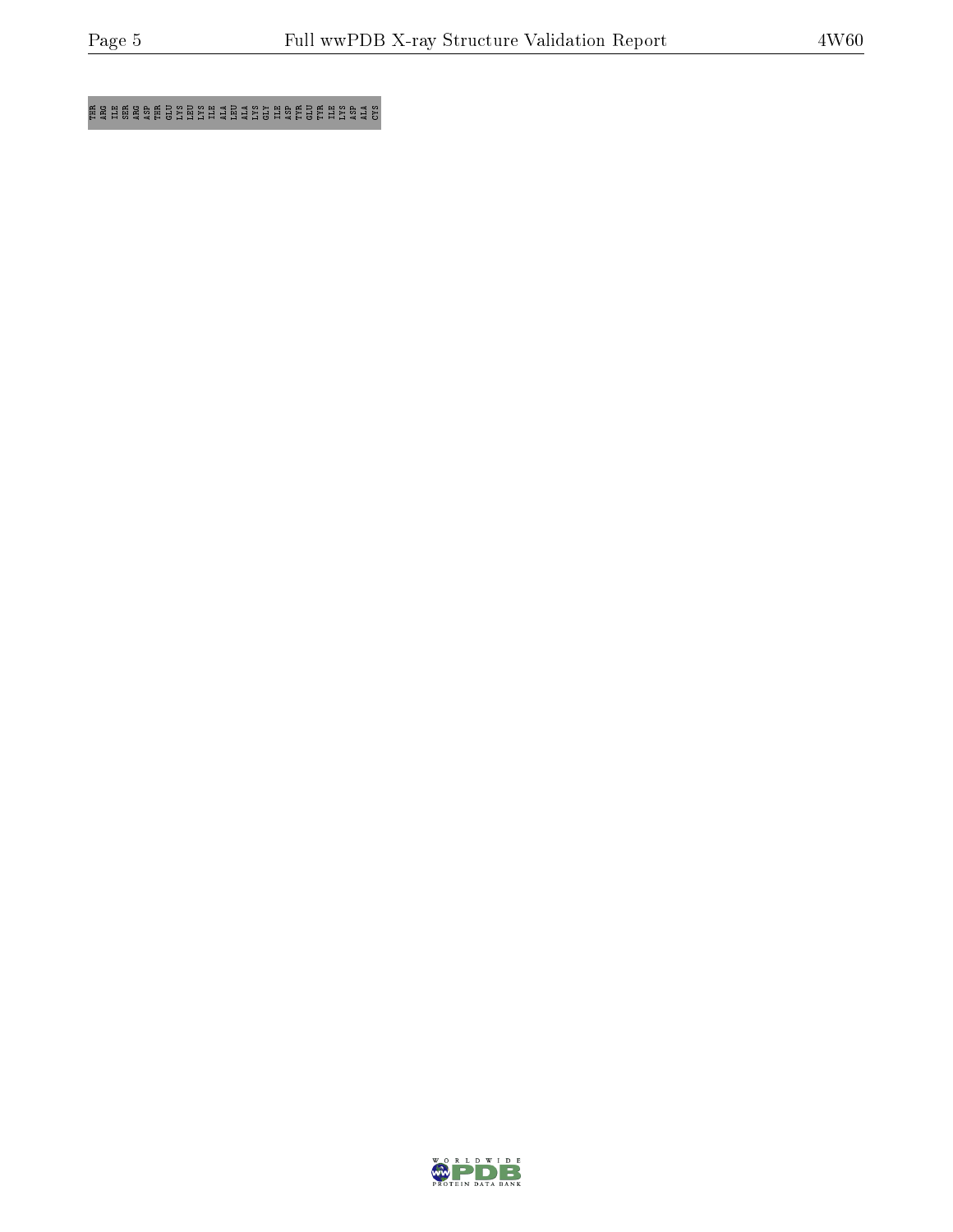E SH ARG E SHARA HARG ARG ARG E SHARA S

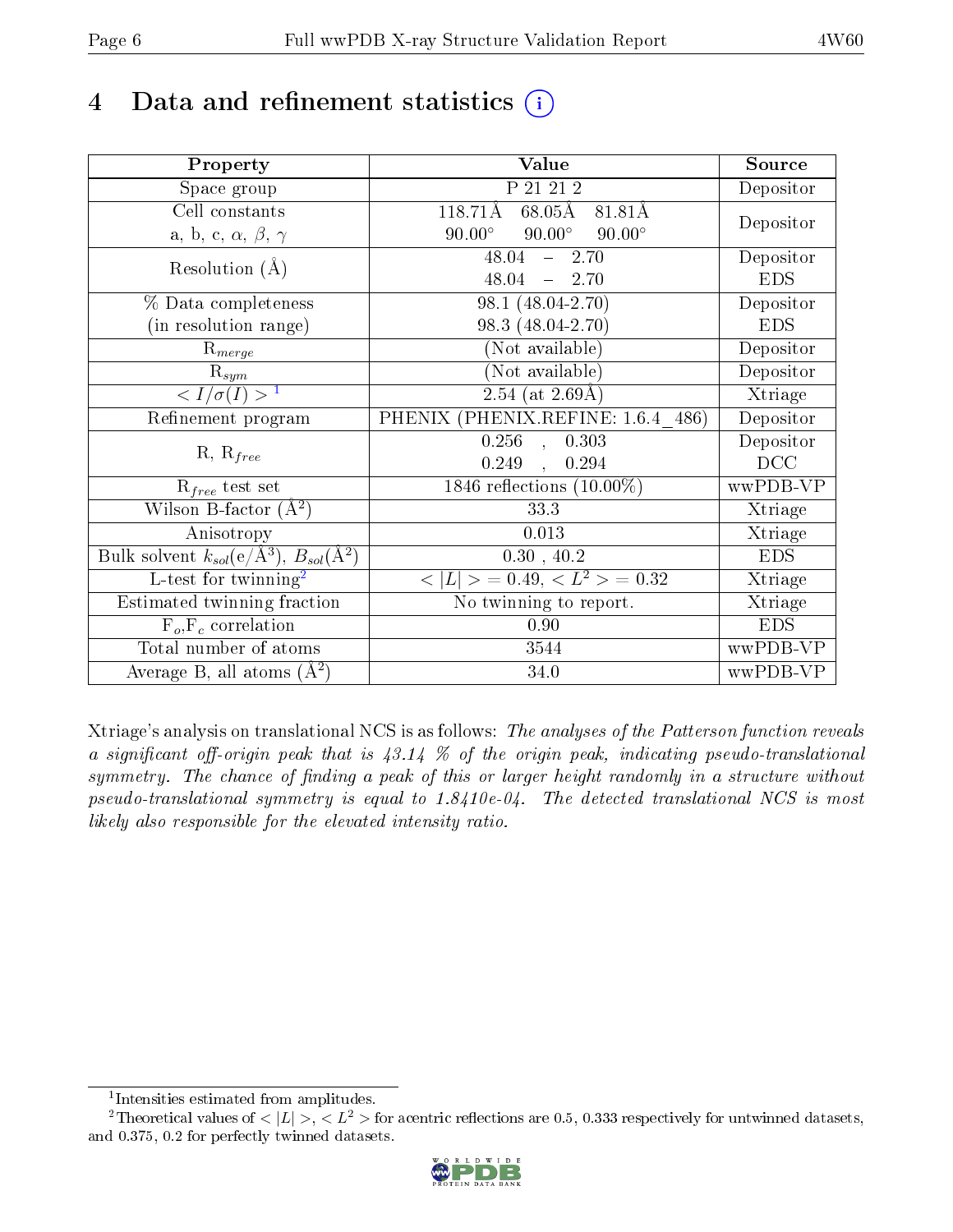# 4 Data and refinement statistics  $(i)$

| Property                                                             | Value                                           | Source     |
|----------------------------------------------------------------------|-------------------------------------------------|------------|
| Space group                                                          | P 21 21 2                                       | Depositor  |
| Cell constants                                                       | 118.71Å<br>$68.05\text{\AA}$<br>81.81Å          |            |
| a, b, c, $\alpha$ , $\beta$ , $\gamma$                               | $90.00^\circ$<br>$90.00^\circ$<br>$90.00^\circ$ | Depositor  |
| Resolution $(A)$                                                     | $-2.70$<br>48.04                                | Depositor  |
|                                                                      | 48.04<br>$-2.70$                                | <b>EDS</b> |
| % Data completeness                                                  | $98.1 (48.04 - 2.70)$                           | Depositor  |
| (in resolution range)                                                | 98.3 (48.04-2.70)                               | <b>EDS</b> |
| $R_{merge}$                                                          | (Not available)                                 | Depositor  |
| $\mathrm{R}_{sym}$                                                   | (Not available)                                 | Depositor  |
| $\langle I/\sigma(I) \rangle$ <sup>1</sup>                           | $\sqrt{2.54 \text{ (at } 2.69 \text{Å)}}$       | Xtriage    |
| Refinement program                                                   | PHENIX (PHENIX.REFINE: 1.6.4 486)               | Depositor  |
|                                                                      | 0.256<br>0.303<br>$\mathcal{A}$                 | Depositor  |
| $R, R_{free}$                                                        | 0.249<br>0.294<br>$\mathbb{R}$                  | DCC        |
| $R_{free}$ test set                                                  | 1846 reflections $(10.00\%)$                    | wwPDB-VP   |
| Wilson B-factor $(A^2)$                                              | 33.3                                            | Xtriage    |
| Anisotropy                                                           | 0.013                                           | Xtriage    |
| Bulk solvent $k_{sol}(e/\mathring{A}^3)$ , $B_{sol}(\mathring{A}^2)$ | $0.30$ , $40.2$                                 | <b>EDS</b> |
| L-test for twinning <sup>2</sup>                                     | $< L >$ = 0.49, $< L^2 >$ = 0.32                | Xtriage    |
| Estimated twinning fraction                                          | No twinning to report.                          | Xtriage    |
| $F_o, F_c$ correlation                                               | 0.90                                            | <b>EDS</b> |
| Total number of atoms                                                | 3544                                            | wwPDB-VP   |
| Average B, all atoms $(A^2)$                                         | 34.0                                            | wwPDB-VP   |

Xtriage's analysis on translational NCS is as follows: The analyses of the Patterson function reveals a significant off-origin peak that is  $43.14\%$  of the origin peak, indicating pseudo-translational symmetry. The chance of finding a peak of this or larger height randomly in a structure without pseudo-translational symmetry is equal to 1.8410e-04. The detected translational NCS is most likely also responsible for the elevated intensity ratio.

<sup>&</sup>lt;sup>2</sup>Theoretical values of  $\langle |L| \rangle$ ,  $\langle L^2 \rangle$  for acentric reflections are 0.5, 0.333 respectively for untwinned datasets, and 0.375, 0.2 for perfectly twinned datasets.



<span id="page-5-1"></span><span id="page-5-0"></span><sup>1</sup> Intensities estimated from amplitudes.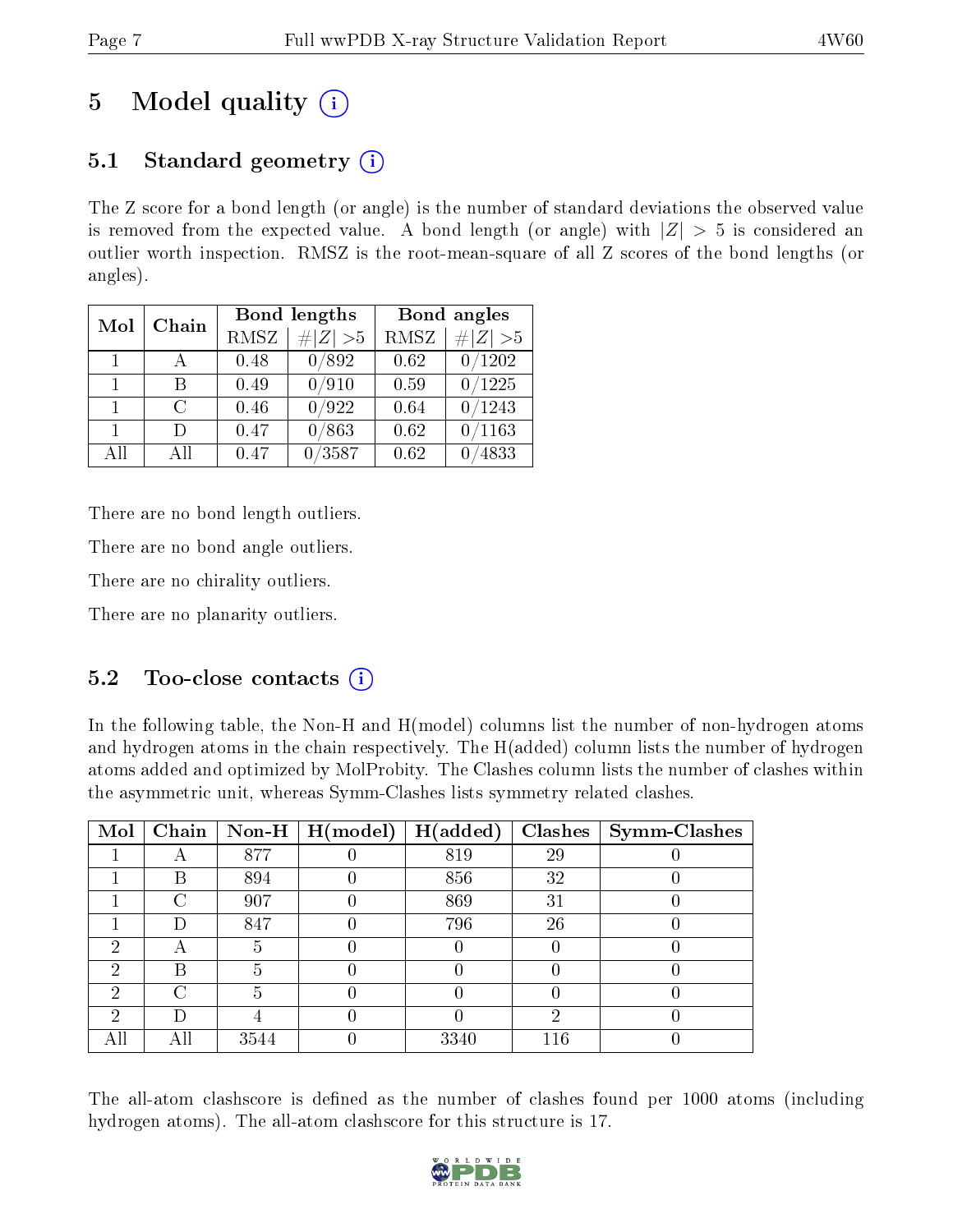# 5 Model quality  $(i)$

# 5.1 Standard geometry  $(i)$

The Z score for a bond length (or angle) is the number of standard deviations the observed value is removed from the expected value. A bond length (or angle) with  $|Z| > 5$  is considered an outlier worth inspection. RMSZ is the root-mean-square of all Z scores of the bond lengths (or angles).

| Mol            | Chain  |      | Bond lengths | Bond angles |             |
|----------------|--------|------|--------------|-------------|-------------|
|                |        | RMSZ | $\# Z  > 5$  | RMSZ        | # $ Z  > 5$ |
| $\overline{1}$ |        | 0.48 | 0/892        | 0.62        | 0/1202      |
| 1.             | R      | 0.49 | 0/910        | 0.59        | 0/1225      |
| $\mathbf{1}$   | $\cap$ | 0.46 | 0/922        | 0.64        | /1243       |
| 1.             | $\Box$ | 0.47 | 0/863        | 0.62        | /1163       |
| AH             | ΑH     | 0.47 | /3587        | 0.62        | 4833        |

There are no bond length outliers.

There are no bond angle outliers.

There are no chirality outliers.

There are no planarity outliers.

## 5.2 Too-close contacts  $\overline{()}$

In the following table, the Non-H and H(model) columns list the number of non-hydrogen atoms and hydrogen atoms in the chain respectively. The H(added) column lists the number of hydrogen atoms added and optimized by MolProbity. The Clashes column lists the number of clashes within the asymmetric unit, whereas Symm-Clashes lists symmetry related clashes.

| Mol |        |      | Chain   Non-H   $H (model)$ | $\mid$ H(added) |     | Clashes   Symm-Clashes |
|-----|--------|------|-----------------------------|-----------------|-----|------------------------|
|     |        | 877  |                             | 819             | 29  |                        |
|     | В      | 894  |                             | 856             | 32  |                        |
|     | ∩      | 907  |                             | 869             | 31  |                        |
|     |        | 847  |                             | 796             | 26  |                        |
| റ   | А      |      |                             |                 |     |                        |
| 2   | В      | h    |                             |                 |     |                        |
| 2   | $\cap$ |      |                             |                 |     |                        |
| ച   | D      |      |                             |                 | റ   |                        |
| All | Αll    | 3544 |                             | 3340            | 116 |                        |

The all-atom clashscore is defined as the number of clashes found per 1000 atoms (including hydrogen atoms). The all-atom clashscore for this structure is 17.

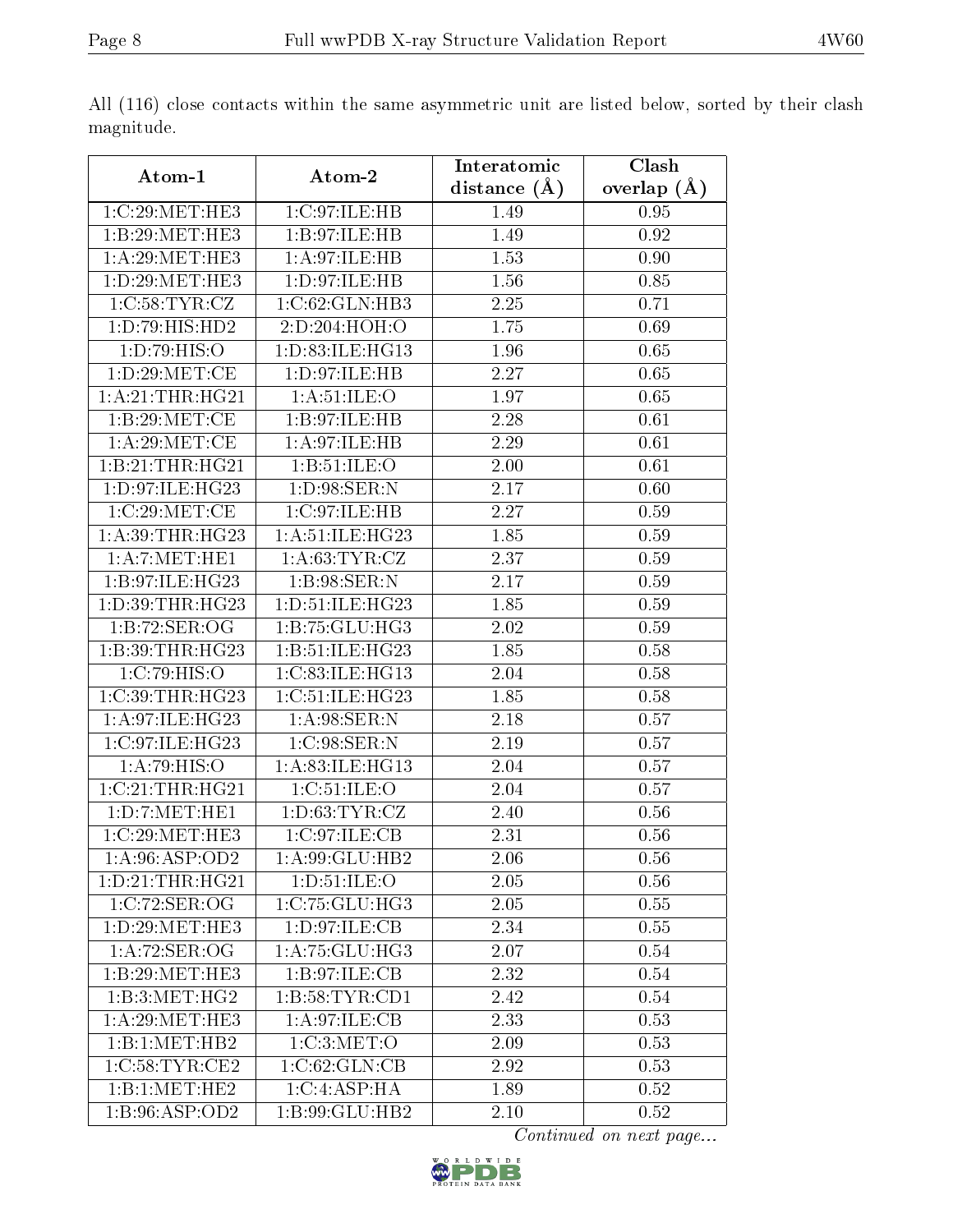|                              |                     | Interatomic    | Clash           |  |
|------------------------------|---------------------|----------------|-----------------|--|
| Atom-1                       | Atom-2              | distance $(A)$ | overlap $(\AA)$ |  |
| 1:C:29:MET:HE3               | 1:C:97:ILE:HB       | 1.49           | 0.95            |  |
| 1:B:29:MET:HE3               | 1:B:97:ILE:HB       | 1.49           | 0.92            |  |
| 1: A:29:MET:HE3              | 1: A:97: ILE: HB    | 1.53           | 0.90            |  |
| 1:D:29:MET:HE3               | 1:D:97:ILE:HB       | 1.56           | 0.85            |  |
| 1:C:58:TYR:CZ                | 1:C:62:GLN:HB3      | 2.25           | 0.71            |  |
| 1:D:79:HIS:HD2               | 2:D:204:HOH:O       | 1.75           | 0.69            |  |
| 1: D: 79: HIS: O             | 1: D: 83: ILE: HG13 | 1.96           | 0.65            |  |
| 1: D:29: MET:CE              | 1:D:97:ILE:HB       | 2.27           | 0.65            |  |
| 1: A:21:THR:HG21             | 1: A:51: ILE: O     | 1.97           | 0.65            |  |
| 1:B:29:MET:CE                | 1:B:97:ILE:HB       | 2.28           | 0.61            |  |
| 1: A:29: MET:CE              | 1:A:97:ILE:HB       | 2.29           | 0.61            |  |
| 1:B:21:THR:HG21              | 1:B:51:ILE:O        | 2.00           | 0.61            |  |
| 1: D: 97: ILE: HG23          | 1: D:98: SER: N     | 2.17           | 0.60            |  |
| 1:C:29:MET:CE                | 1:C:97:ILE:HB       | 2.27           | 0.59            |  |
| 1: A:39:THR:HG23             | 1: A:51: ILE: HG23  | 1.85           | 0.59            |  |
| 1:A:7:MET:HE1                | 1: A:63:TYR:CZ      | 2.37           | 0.59            |  |
| 1: B:97: ILE: HG23           | 1:B:98:SER:N        | 2.17           | 0.59            |  |
| 1: D:39:THR:HG23             | 1: D: 51: ILE: HG23 | 1.85           | 0.59            |  |
| 1:B:72:SER:OG                | 1:B:75:GLU:HG3      | 2.02           | 0.59            |  |
| 1:B:39:THR:HG23              | 1:B:51:ILE:HG23     | 1.85           | 0.58            |  |
| 1:C:79:HIS:O                 | 1:C:83:ILE:HG13     | 2.04           | 0.58            |  |
| 1:C:39:THR:HG23              | 1:C:51:ILE:HG23     | 1.85           | 0.58            |  |
| 1:A:97:ILE:HG23              | 1: A:98: SER: N     | 2.18           | 0.57            |  |
| 1:C:97:ILE:HG23              | 1:C:98:SER:N        | 2.19           | 0.57            |  |
| 1: A:79: HIS:O               | 1:A:83:ILE:HG13     | 2.04           | 0.57            |  |
| 1:C:21:THR:HG21              | 1:C:51:ILE:O        | 2.04           | 0.57            |  |
| 1:D:7:MET:HE1                | 1: D:63: TYR: CZ    | 2.40           | 0.56            |  |
| 1:C:29:MET:HE3               | 1:C:97:ILE:CB       | 2.31           | 0.56            |  |
| 1:A:96:ASP:OD2               | 1:A:99:GLU:HB2      | 2.06           | 0.56            |  |
| 1: D: 21: THR: HG21          | 1: D: 51: ILE: O    | 2.05           | 0.56            |  |
| 1:C:72:SER:OG                | 1:C:75:GLU:HG3      | 2.05           | 0.55            |  |
| 1: D: 29: MET: HE3           | 1: D:97: ILE: CB    | 2.34           | 0.55            |  |
| 1: A:72: SER:OG              | 1:A:75:GLU:HG3      | 2.07           | 0.54            |  |
| 1:B:29:MET:HE3               | 1:B:97:ILE:CB       | 2.32           | 0.54            |  |
| 1:B:3:MET:HG2                | 1:B:58:TYR:CD1      | 2.42           | 0.54            |  |
| $1: A:29:MET:H\overline{E3}$ | 1: A:97: ILE: CB    | 2.33           | 0.53            |  |
| 1:B:1:MET:HB2                | 1:C:3:MET:O         | 2.09           | 0.53            |  |
| 1:C:58:TYR:CE2               | 1:C:62:GLN:CB       | 2.92           | 0.53            |  |
| 1:B:1:MET:HE2                | 1:C:4:ASP:HA        | 1.89           | 0.52            |  |
| 1:B:96:ASP:OD2               | 1:B:99:GLU:HB2      | 2.10           | 0.52            |  |

All (116) close contacts within the same asymmetric unit are listed below, sorted by their clash magnitude.

Continued on next page...

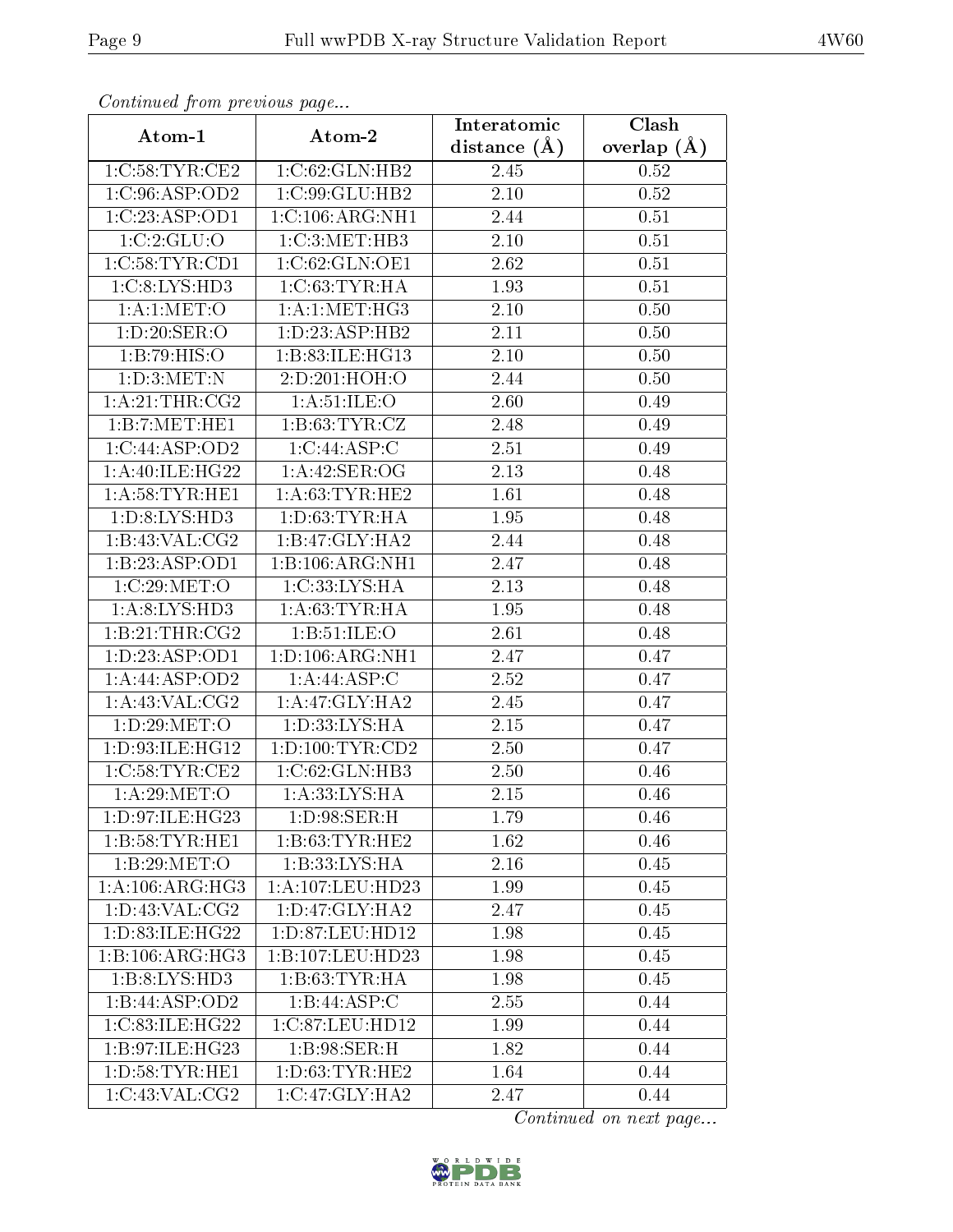| Communica from precious page    |                     | Interatomic       | Clash           |
|---------------------------------|---------------------|-------------------|-----------------|
| Atom-1                          | Atom-2              | distance $(A)$    | overlap $(\AA)$ |
| 1:C:58:TYR:CE2                  | 1:C:62:GLN:HB2      | 2.45              | 0.52            |
| 1:C:96:ASP:OD2                  | 1:C:99:GLU:HB2      | 2.10              | 0.52            |
| 1:C:23:ASP:OD1                  | 1:C:106:ARG:NH1     | 2.44              | 0.51            |
| 1:C:2:GLU:O                     | 1:C:3:MET:HB3       | 2.10              | 0.51            |
| 1:C:58:TYR:CD1                  | 1:C:62:GLN:OE1      | 2.62              | 0.51            |
| 1: C:8: LYS: HD3                | 1:C:63:TYR:HA       | 1.93              | 0.51            |
| 1: A: 1: MET: O                 | 1: A:1: MET:HG3     | $\overline{2.10}$ | 0.50            |
| 1: D:20: SER:O                  | 1: D: 23: ASP: HB2  | 2.11              | 0.50            |
| 1:B:79:HIS:O                    | 1:B:83:ILE:HG13     | 2.10              | 0.50            |
| 1: D:3:MET:N                    | 2:D:201:HOH:O       | 2.44              | 0.50            |
| 1: A:21:THR:CG2                 | 1: A:51: ILE: O     | 2.60              | 0.49            |
| 1:B:7:MET:HE1                   | 1: B:63: TYR: CZ    | 2.48              | 0.49            |
| 1:C:44:ASP:OD2                  | 1:C:44:ASP:C        | 2.51              | 0.49            |
| 1:A:40:ILE:HG22                 | 1:A:42:SER:OG       | 2.13              | 0.48            |
| 1: A:58:TYR:HE1                 | 1: A:63:TYR:HE2     | 1.61              | 0.48            |
| 1: D: 8: LYS: HD3               | 1: D:63:TYR:HA      | 1.95              | 0.48            |
| 1:B:43:VAL:CG2                  | 1:B:47:GLY:HA2      | 2.44              | 0.48            |
| 1:B:23:ASP:OD1                  | 1:B:106:ARG:NH1     | 2.47              | 0.48            |
| 1:C:29:MET:O                    | 1:C:33:LYS:HA       | 2.13              | 0.48            |
| 1: A:8: LYS: HD3                | 1: A:63:TYR:HA      | 1.95              | 0.48            |
| 1:B:21:THR:CG2                  | 1: B: 51: ILE: O    | 2.61              | 0.48            |
| $1: D: 23: \overline{ASP}: OD1$ | 1: D: 106: ARG: NH1 | 2.47              | 0.47            |
| 1: A:44:ASP:OD2                 | 1: A:44:ASP:C       | 2.52              | 0.47            |
| 1: A:43: VAL: CG2               | 1: A:47: GLY:HA2    | 2.45              | 0.47            |
| 1:D:29:MET:O                    | 1: D: 33: LYS: HA   | $2.15\,$          | 0.47            |
| 1:D:93:ILE:HG12                 | 1: D: 100: TYR: CD2 | 2.50              | 0.47            |
| 1:C:58:TYR:CE2                  | 1:C:62:GLN:HB3      | 2.50              | 0.46            |
| 1: A:29: MET:O                  | 1: A:33: LYS: HA    | 2.15              | 0.46            |
| 1: D:97: ILE: HG <sub>23</sub>  | 1: D:98: SER:H      | 1.79              | 0.46            |
| 1:B:58:TYR:HE1                  | 1:B:63:TYR:HE2      | 1.62              | 0.46            |
| 1:B:29:MET:O                    | 1:B:33:LYS:HA       | 2.16              | 0.45            |
| 1: A: 106: ARG: HG3             | 1:A:107:LEU:HD23    | 1.99              | 0.45            |
| 1: D: 43: VAL: CG2              | 1: D: 47: GLY: HA2  | 2.47              | 0.45            |
| 1:D:83:ILE:HG22                 | 1:D:87:LEU:HD12     | 1.98              | 0.45            |
| 1:B:106:ARG:HG3                 | 1:B:107:LEU:HD23    | 1.98              | 0.45            |
| 1:B:8:LYS:HD3                   | 1: B:63:TYR:HA      | 1.98              | 0.45            |
| 1:B:44:ASP:OD2                  | 1:B:44:ASP:C        | 2.55              | 0.44            |
| 1:C:83:ILE:HG22                 | 1:C:87:LEU:HD12     | 1.99              | 0.44            |
| 1: B:97: ILE: HG23              | 1: B:98: SER:H      | 1.82              | 0.44            |
| 1: D: 58: TYR: HE1              | 1: D: 63: TYR: HE2  | 1.64              | 0.44            |
| 1:C:43:VAL:CG2                  | 1:C:47:GLY:HA2      | 2.47              | 0.44            |

Continued from previous page.

Continued on next page...

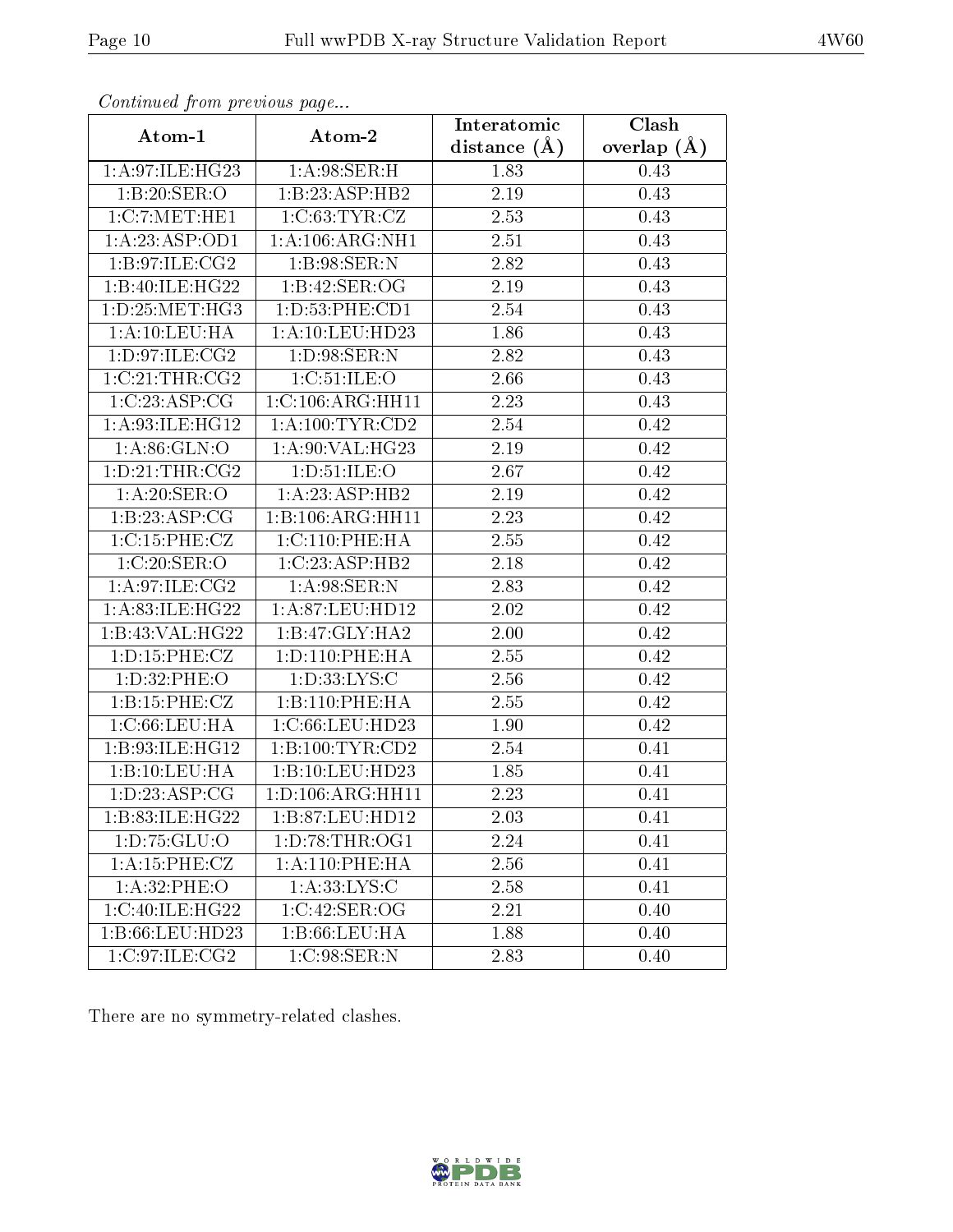| Continued from previous page |                                     | Interatomic       | Clash         |  |
|------------------------------|-------------------------------------|-------------------|---------------|--|
| Atom-1                       | Atom-2                              | distance $(A)$    | overlap $(A)$ |  |
| 1:A:97:ILE:HG23              | 1: A:98: SER:H                      | 1.83              | 0.43          |  |
| 1:B:20:SER:O                 | 1:B:23:ASP:HB2                      | 2.19              | 0.43          |  |
| 1:C:7:MET:HE1                | 1:C:63:TYR:CZ                       | 2.53              | 0.43          |  |
| 1: A:23: ASP:OD1             | 1: A:106: ARG:NH1                   | 2.51              | 0.43          |  |
| 1: B:97: ILE: CG2            | 1:B:98:SER:N                        | 2.82              | 0.43          |  |
| 1:B:40:ILE:HG22              | 1:B:42:SER:OG                       | 2.19              | 0.43          |  |
| 1: D: 25: MET:HG3            | 1:D:53:PHE:CD1                      | 2.54              | 0.43          |  |
| 1: A: 10: LEU: HA            | 1: A: 10: LEU: HD23                 | 1.86              | 0.43          |  |
| 1:D:97:ILE:CG2               | 1: D:98: SER: N                     | 2.82              | 0.43          |  |
| 1:C:21:THR:CG2               | 1:C:51:ILE:O                        | 2.66              | 0.43          |  |
| 1:C:23:ASP:CG                | 1:C:106:ARG:HH11                    | 2.23              | 0.43          |  |
| 1:A:93:ILE:HG12              | 1: A:100: TYR:CD2                   | 2.54              | 0.42          |  |
| 1: A:86: GLN:O               | 1:A:90:VAL:HG23                     | 2.19              | 0.42          |  |
| 1: D: 21: THR: CG2           | 1: D: 51: ILE: O                    | 2.67              | 0.42          |  |
| 1: A:20: SER:O               | 1:A:23:ASP:HB2                      | 2.19              | 0.42          |  |
| 1:B:23:ASP:CG                | 1:B:106:ARG:HH11                    | 2.23              | 0.42          |  |
| 1:C:15:PHE:CZ                | 1:C:110:PHE:HA                      | 2.55              | 0.42          |  |
| 1:C:20:SER:O                 | 1:C:23:ASP:HB2                      | 2.18              | 0.42          |  |
| 1: A:97: ILE: CG2            | 1: A:98: SER: N                     | 2.83              | 0.42          |  |
| 1:A:83:ILE:HG22              | $1:\overline{A}:87:\text{LEU}:HD12$ | 2.02              | 0.42          |  |
| 1:B:43:VAL:HG22              | 1:B:47:GLY:HA2                      | 2.00              | 0.42          |  |
| 1: D: 15: PHE: CZ            | 1: D: 110: PHE: HA                  | 2.55              | 0.42          |  |
| 1: D:32: PHE:O               | 1: D: 33: LYS: C                    | 2.56              | 0.42          |  |
| 1:B:15:PHE:CZ                | 1:B:110:PHE:HA                      | 2.55              | 0.42          |  |
| 1: C:66:LEU:HA               | 1:C:66:LEU:HD23                     | 1.90              | 0.42          |  |
| 1:B:93:ILE:HG12              | 1:B:100:TYR:CD2                     | $\overline{2.54}$ | 0.41          |  |
| 1:B:10:LEU:HA                | 1:B:10:LEU:HD23                     | 1.85              | 0.41          |  |
| 1:D:23:ASP:CG                | 1:D:106:ARG:HH11                    | 2.23              | 0.41          |  |
| 1:B:83:ILE:HG22              | 1:B:87:LEU:HD12                     | 2.03              | 0.41          |  |
| 1: D: 75: GLU: O             | 1: D:78: THR:OG1                    | 2.24              | 0.41          |  |
| 1: A:15:PHE:CZ               | 1:A:110:PHE:HA                      | 2.56              | 0.41          |  |
| 1: A:32: PHE:O               | 1: A: 33: LYS: C                    | 2.58              | 0.41          |  |
| 1:C:40:ILE:HG22              | 1:C:42:SER:OG                       | 2.21              | 0.40          |  |
| 1:B:66:LEU:HD23              | 1:B:66:LEU:HA                       | 1.88              | 0.40          |  |
| 1:C:97:ILE:CG2               | 1:C:98:SER:N                        | 2.83              | 0.40          |  |

Continued from previous page.

There are no symmetry-related clashes.

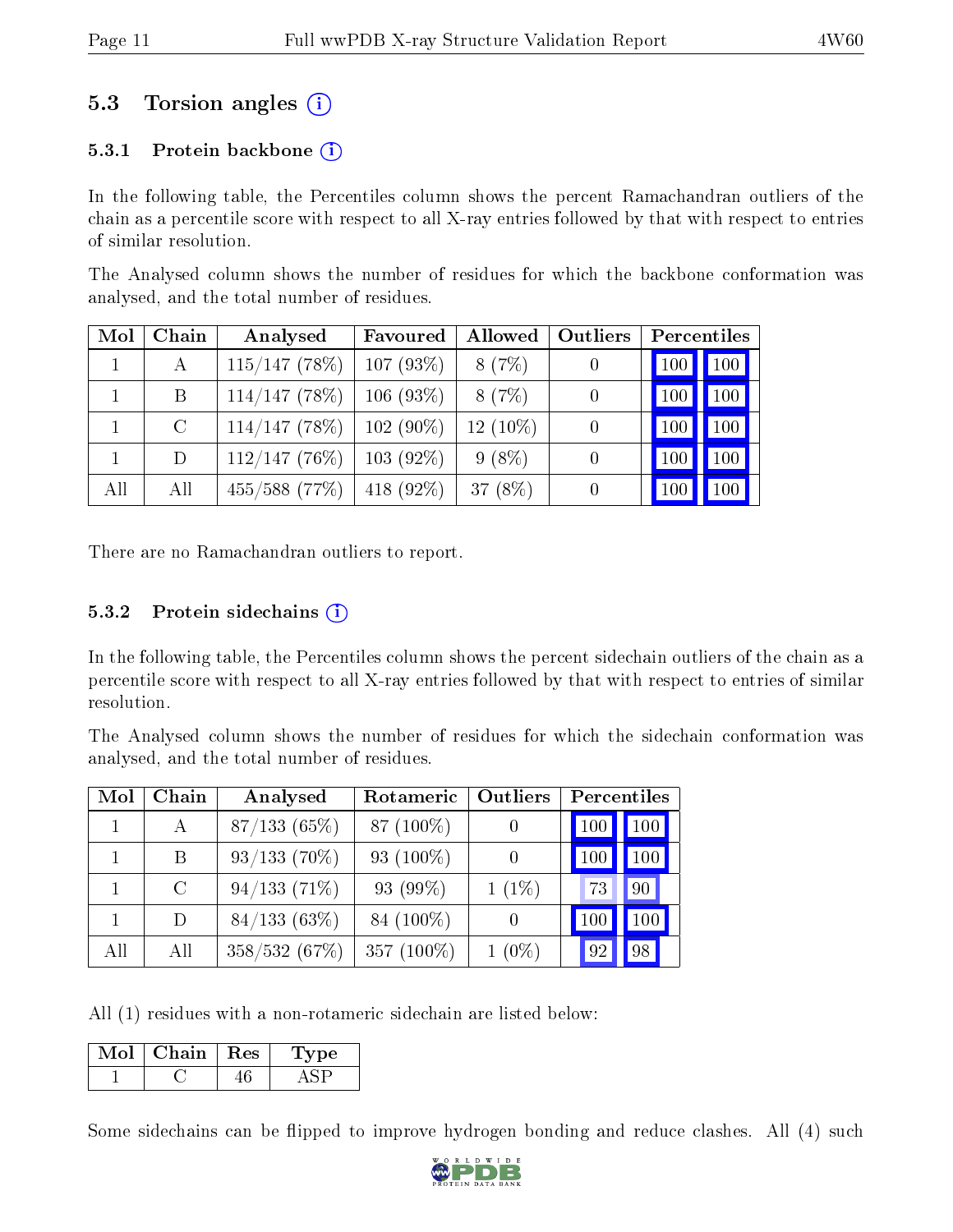# 5.3 Torsion angles (i)

### 5.3.1 Protein backbone  $(i)$

In the following table, the Percentiles column shows the percent Ramachandran outliers of the chain as a percentile score with respect to all X-ray entries followed by that with respect to entries of similar resolution.

The Analysed column shows the number of residues for which the backbone conformation was analysed, and the total number of residues.

| Mol | Chain         | Analysed        | Favoured     | Allowed    | Outliers         | Percentiles |                     |
|-----|---------------|-----------------|--------------|------------|------------------|-------------|---------------------|
|     | А             | $115/147$ (78%) | $107(93\%)$  | 8(7%)      |                  | 100         | $\vert$ 100 $\vert$ |
|     | B             | $114/147$ (78%) | $106(93\%)$  | 8(7%)      | 0                | 100         | $ 100\rangle$       |
|     | $\mathcal{C}$ | 114/147(78%)    | $102(90\%)$  | $12(10\%)$ | $\left( \right)$ | 100         | 100                 |
|     | D             | $112/147(76\%)$ | $103(92\%)$  | $9(8\%)$   | 0                | 100         | 100                 |
| All | All           | $455/588$ (77%) | 418 $(92\%)$ | 37 $(8%)$  |                  | 100         | 100                 |

There are no Ramachandran outliers to report.

#### $5.3.2$  Protein sidechains  $(i)$

In the following table, the Percentiles column shows the percent sidechain outliers of the chain as a percentile score with respect to all X-ray entries followed by that with respect to entries of similar resolution.

The Analysed column shows the number of residues for which the sidechain conformation was analysed, and the total number of residues.

| Mol | ${\bf Chain}$ | Analysed       | Rotameric    | <b>Outliers</b> | Percentiles     |            |
|-----|---------------|----------------|--------------|-----------------|-----------------|------------|
|     | $\mathbf{A}$  | 87/133(65%)    | 87 (100\%)   |                 | 10 <sup>C</sup> | $100 \mid$ |
|     | B             | $93/133(70\%)$ | 93 $(100\%)$ |                 | 100             | $100\,$    |
|     | $\rm C$       | 94/133(71%)    | 93 (99%)     | $1(1\%)$        | 73              | 90         |
|     | D.            | 84/133(63%)    | 84 (100\%)   |                 | 10 <sup>°</sup> | $100\,$    |
| All | All           | 358/532 (67%)  | 357 (100%)   | $1(0\%)$        | 92              | 98         |

All (1) residues with a non-rotameric sidechain are listed below:

| Mol | Chain- | Res | 'pe |
|-----|--------|-----|-----|
|     |        |     |     |

Some sidechains can be flipped to improve hydrogen bonding and reduce clashes. All (4) such

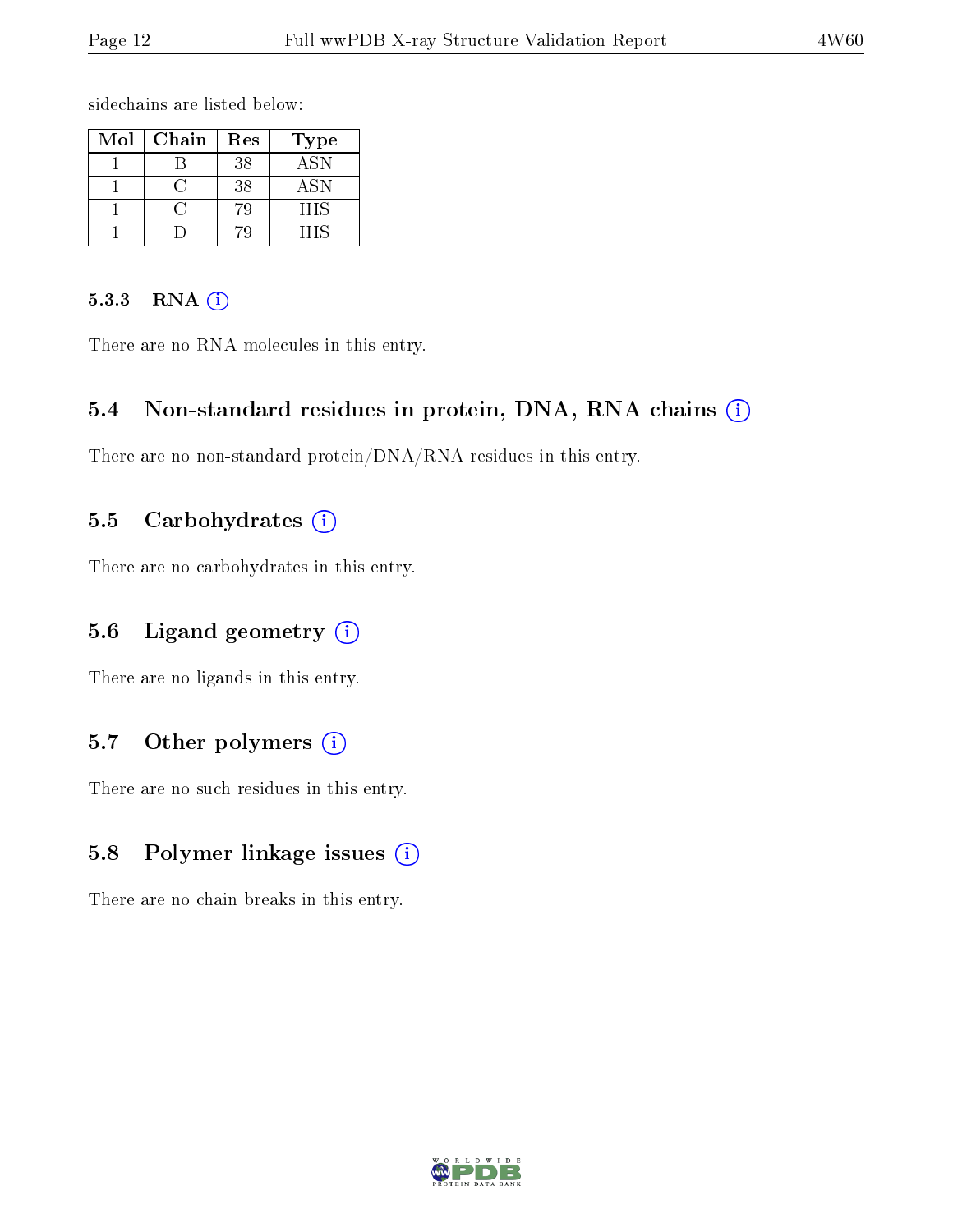sidechains are listed below:

| Mol | Chain | Res | Type       |
|-----|-------|-----|------------|
|     |       | 38  | <b>ASN</b> |
|     |       | 38  | <b>ASN</b> |
|     |       |     | HIS        |
|     |       |     | НIS        |

#### 5.3.3 RNA (i)

There are no RNA molecules in this entry.

### 5.4 Non-standard residues in protein, DNA, RNA chains (i)

There are no non-standard protein/DNA/RNA residues in this entry.

### 5.5 Carbohydrates  $(i)$

There are no carbohydrates in this entry.

### 5.6 Ligand geometry (i)

There are no ligands in this entry.

### 5.7 [O](https://www.wwpdb.org/validation/2017/XrayValidationReportHelp#nonstandard_residues_and_ligands)ther polymers (i)

There are no such residues in this entry.

### 5.8 Polymer linkage issues (i)

There are no chain breaks in this entry.

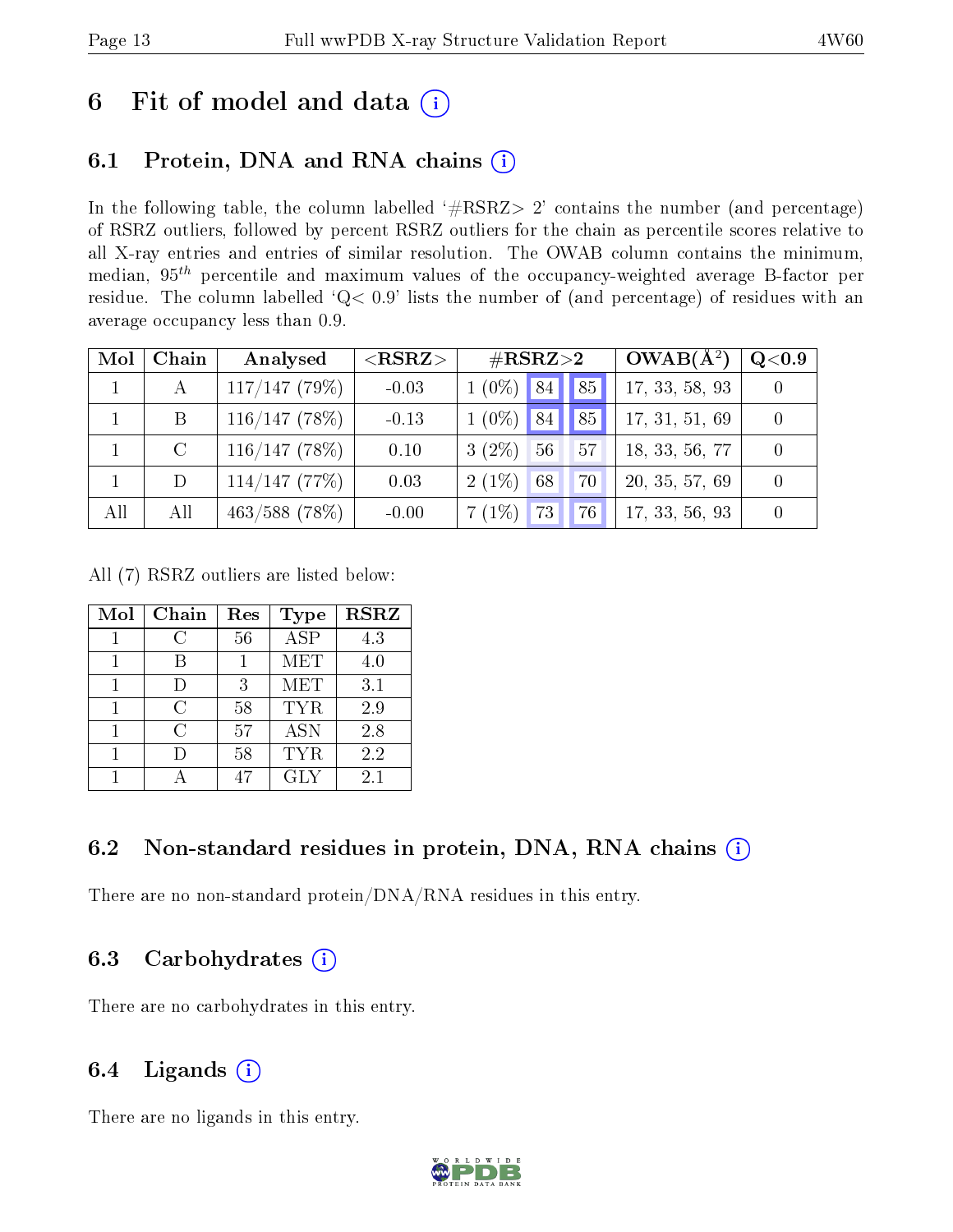# 6 Fit of model and data  $(i)$

# 6.1 Protein, DNA and RNA chains (i)

In the following table, the column labelled  $#RSRZ> 2'$  contains the number (and percentage) of RSRZ outliers, followed by percent RSRZ outliers for the chain as percentile scores relative to all X-ray entries and entries of similar resolution. The OWAB column contains the minimum, median,  $95<sup>th</sup>$  percentile and maximum values of the occupancy-weighted average B-factor per residue. The column labelled ' $Q< 0.9$ ' lists the number of (and percentage) of residues with an average occupancy less than 0.9.

| Mol | Chain         | Analysed         | ${ <\hspace{-1.5pt}{\mathrm{RSRZ}} \hspace{-1.5pt}>}$ | $\#\text{RSRZ}{>}2$             | $OWAB(A^2)$    | $\rm Q\textcolor{black}{<}0.9$ |
|-----|---------------|------------------|-------------------------------------------------------|---------------------------------|----------------|--------------------------------|
|     | $\mathbf{A}$  | $117/147$ (79%)  | $-0.03$                                               | 185 <sub>1</sub><br>$1(0\%)$ 84 | 17, 33, 58, 93 |                                |
|     | B             | 116/147(78%)     | $-0.13$                                               | $1(0\%)$ 84<br>$^{\prime}85$    | 17, 31, 51, 69 |                                |
|     | $\mathcal{C}$ | 116/147(78%)     | 0.10                                                  | 56<br>$3(2\%)$<br>57            | 18, 33, 56, 77 |                                |
|     | D             | $114/147$ (77%)  | 0.03                                                  | $2(1\%)$<br>68<br>70            | 20, 35, 57, 69 |                                |
| All | All           | $463/588$ (78\%) | $-0.00$                                               | 73<br>7(1%)<br>76               | 17, 33, 56, 93 |                                |

All (7) RSRZ outliers are listed below:

| Mol | Chain | Res | <b>Type</b> | <b>RSRZ</b> |
|-----|-------|-----|-------------|-------------|
|     | C     | 56  | <b>ASP</b>  | 4.3         |
|     |       |     | <b>MET</b>  | 4.0         |
|     |       | 3   | <b>MET</b>  | 3.1         |
|     | C     | 58  | <b>TYR</b>  | 2.9         |
|     | C     | 57  | <b>ASN</b>  | 2.8         |
|     |       | 58  | TYR.        | 2.2         |
|     |       | 47  | GLY         | 2.1         |

## 6.2 Non-standard residues in protein, DNA, RNA chains  $(i)$

There are no non-standard protein/DNA/RNA residues in this entry.

## 6.3 Carbohydrates  $(i)$

There are no carbohydrates in this entry.

### 6.4 Ligands  $(i)$

There are no ligands in this entry.